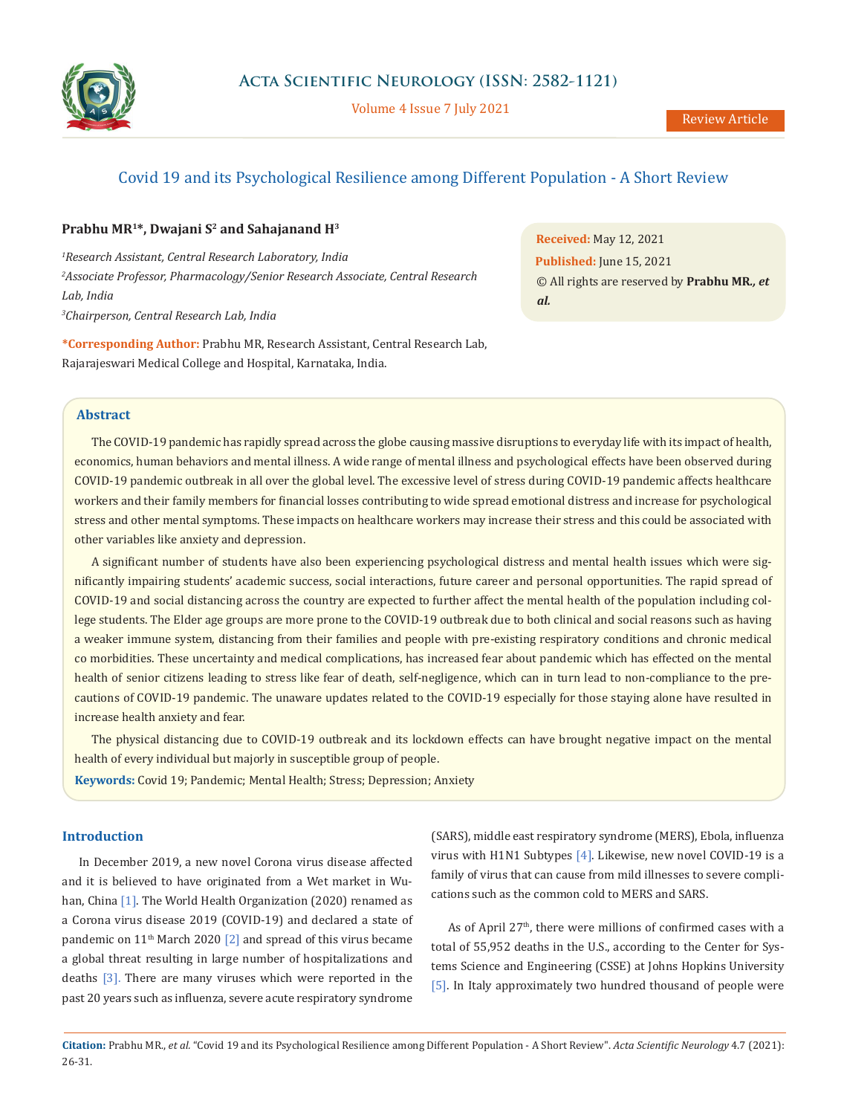

Volume 4 Issue 7 July 2021

# Covid 19 and its Psychological Resilience among Different Population - A Short Review

### Prabhu MR<sup>1\*</sup>, Dwajani S<sup>2</sup> and Sahajanand H<sup>3</sup>

 *Research Assistant, Central Research Laboratory, India Associate Professor, Pharmacology/Senior Research Associate, Central Research Lab, India Chairperson, Central Research Lab, India*

**\*Corresponding Author:** Prabhu MR, Research Assistant, Central Research Lab, Rajarajeswari Medical College and Hospital, Karnataka, India.

**Received:** May 12, 2021 **Published:** June 15, 2021 © All rights are reserved by **Prabhu MR***., et al.*

### **Abstract**

The COVID-19 pandemic has rapidly spread across the globe causing massive disruptions to everyday life with its impact of health, economics, human behaviors and mental illness. A wide range of mental illness and psychological effects have been observed during COVID-19 pandemic outbreak in all over the global level. The excessive level of stress during COVID-19 pandemic affects healthcare workers and their family members for financial losses contributing to wide spread emotional distress and increase for psychological stress and other mental symptoms. These impacts on healthcare workers may increase their stress and this could be associated with other variables like anxiety and depression.

A significant number of students have also been experiencing psychological distress and mental health issues which were significantly impairing students' academic success, social interactions, future career and personal opportunities. The rapid spread of COVID-19 and social distancing across the country are expected to further affect the mental health of the population including college students. The Elder age groups are more prone to the COVID-19 outbreak due to both clinical and social reasons such as having a weaker immune system, distancing from their families and people with pre-existing respiratory conditions and chronic medical co morbidities. These uncertainty and medical complications, has increased fear about pandemic which has effected on the mental health of senior citizens leading to stress like fear of death, self-negligence, which can in turn lead to non-compliance to the precautions of COVID-19 pandemic. The unaware updates related to the COVID-19 especially for those staying alone have resulted in increase health anxiety and fear.

The physical distancing due to COVID-19 outbreak and its lockdown effects can have brought negative impact on the mental health of every individual but majorly in susceptible group of people.

**Keywords:** Covid 19; Pandemic; Mental Health; Stress; Depression; Anxiety

## **Introduction**

In December 2019, a new novel Corona virus disease affected and it is believed to have originated from a Wet market in Wuhan, China [1]. The World Health Organization (2020) renamed as a Corona virus disease 2019 (COVID-19) and declared a state of pandemic on  $11<sup>th</sup>$  March 2020 [2] and spread of this virus became a global threat resulting in large number of hospitalizations and deaths [3]. There are many viruses which were reported in the past 20 years such as influenza, severe acute respiratory syndrome (SARS), middle east respiratory syndrome (MERS), Ebola, influenza virus with H1N1 Subtypes [4]. Likewise, new novel COVID-19 is a family of virus that can cause from mild illnesses to severe complications such as the common cold to MERS and SARS.

As of April  $27<sup>th</sup>$ , there were millions of confirmed cases with a total of 55,952 deaths in the U.S., according to the Center for Systems Science and Engineering (CSSE) at Johns Hopkins University [5]. In Italy approximately two hundred thousand of people were

**Citation:** Prabhu MR., *et al.* "Covid 19 and its Psychological Resilience among Different Population - A Short Review". *Acta Scientific Neurology* 4.7 (2021): 26-31.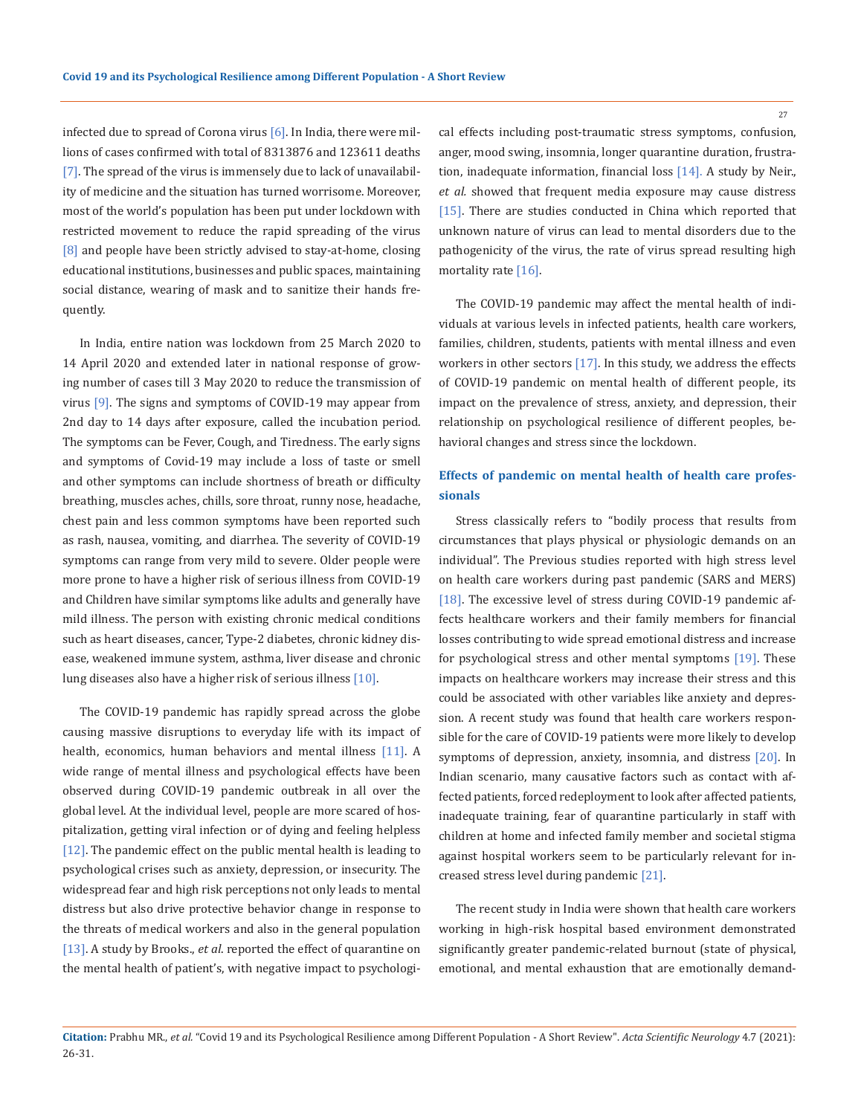infected due to spread of Corona virus  $[6]$ . In India, there were millions of cases confirmed with total of 8313876 and 123611 deaths [7]. The spread of the virus is immensely due to lack of unavailability of medicine and the situation has turned worrisome. Moreover, most of the world's population has been put under lockdown with restricted movement to reduce the rapid spreading of the virus [8] and people have been strictly advised to stay-at-home, closing educational institutions, businesses and public spaces, maintaining social distance, wearing of mask and to sanitize their hands frequently.

In India, entire nation was lockdown from 25 March 2020 to 14 April 2020 and extended later in national response of growing number of cases till 3 May 2020 to reduce the transmission of virus  $[9]$ . The signs and symptoms of COVID-19 may appear from 2nd day to 14 days after exposure, called the incubation period. The symptoms can be Fever, Cough, and Tiredness. The early signs and symptoms of Covid-19 may include a loss of taste or smell and other symptoms can include shortness of breath or difficulty breathing, muscles aches, chills, sore throat, runny nose, headache, chest pain and less common symptoms have been reported such as rash, nausea, vomiting, and diarrhea. The severity of COVID-19 symptoms can range from very mild to severe. Older people were more prone to have a higher risk of serious illness from COVID-19 and Children have similar symptoms like adults and generally have mild illness. The person with existing chronic medical conditions such as heart diseases, cancer, Type-2 diabetes, chronic kidney disease, weakened immune system, asthma, liver disease and chronic lung diseases also have a higher risk of serious illness [10].

The COVID-19 pandemic has rapidly spread across the globe causing massive disruptions to everyday life with its impact of health, economics, human behaviors and mental illness [11]. A wide range of mental illness and psychological effects have been observed during COVID-19 pandemic outbreak in all over the global level. At the individual level, people are more scared of hospitalization, getting viral infection or of dying and feeling helpless [12]. The pandemic effect on the public mental health is leading to psychological crises such as anxiety, depression, or insecurity. The widespread fear and high risk perceptions not only leads to mental distress but also drive protective behavior change in response to the threats of medical workers and also in the general population [13]. A study by Brooks., *et al*. reported the effect of quarantine on the mental health of patient's, with negative impact to psychological effects including post-traumatic stress symptoms, confusion, anger, mood swing, insomnia, longer quarantine duration, frustration, inadequate information, financial loss [14]. A study by Neir., *et al.* showed that frequent media exposure may cause distress [15]. There are studies conducted in China which reported that unknown nature of virus can lead to mental disorders due to the pathogenicity of the virus, the rate of virus spread resulting high mortality rate [16].

The COVID-19 pandemic may affect the mental health of individuals at various levels in infected patients, health care workers, families, children, students, patients with mental illness and even workers in other sectors [17]. In this study, we address the effects of COVID-19 pandemic on mental health of different people, its impact on the prevalence of stress, anxiety, and depression, their relationship on psychological resilience of different peoples, behavioral changes and stress since the lockdown.

## **Effects of pandemic on mental health of health care professionals**

Stress classically refers to "bodily process that results from circumstances that plays physical or physiologic demands on an individual". The Previous studies reported with high stress level on health care workers during past pandemic (SARS and MERS) [18]. The excessive level of stress during COVID-19 pandemic affects healthcare workers and their family members for financial losses contributing to wide spread emotional distress and increase for psychological stress and other mental symptoms [19]. These impacts on healthcare workers may increase their stress and this could be associated with other variables like anxiety and depression. A recent study was found that health care workers responsible for the care of COVID-19 patients were more likely to develop symptoms of depression, anxiety, insomnia, and distress [20]. In Indian scenario, many causative factors such as contact with affected patients, forced redeployment to look after affected patients, inadequate training, fear of quarantine particularly in staff with children at home and infected family member and societal stigma against hospital workers seem to be particularly relevant for increased stress level during pandemic [21].

The recent study in India were shown that health care workers working in high-risk hospital based environment demonstrated significantly greater pandemic-related burnout (state of physical, emotional, and mental exhaustion that are emotionally demand-

**Citation:** Prabhu MR., *et al.* "Covid 19 and its Psychological Resilience among Different Population - A Short Review". *Acta Scientific Neurology* 4.7 (2021): 26-31.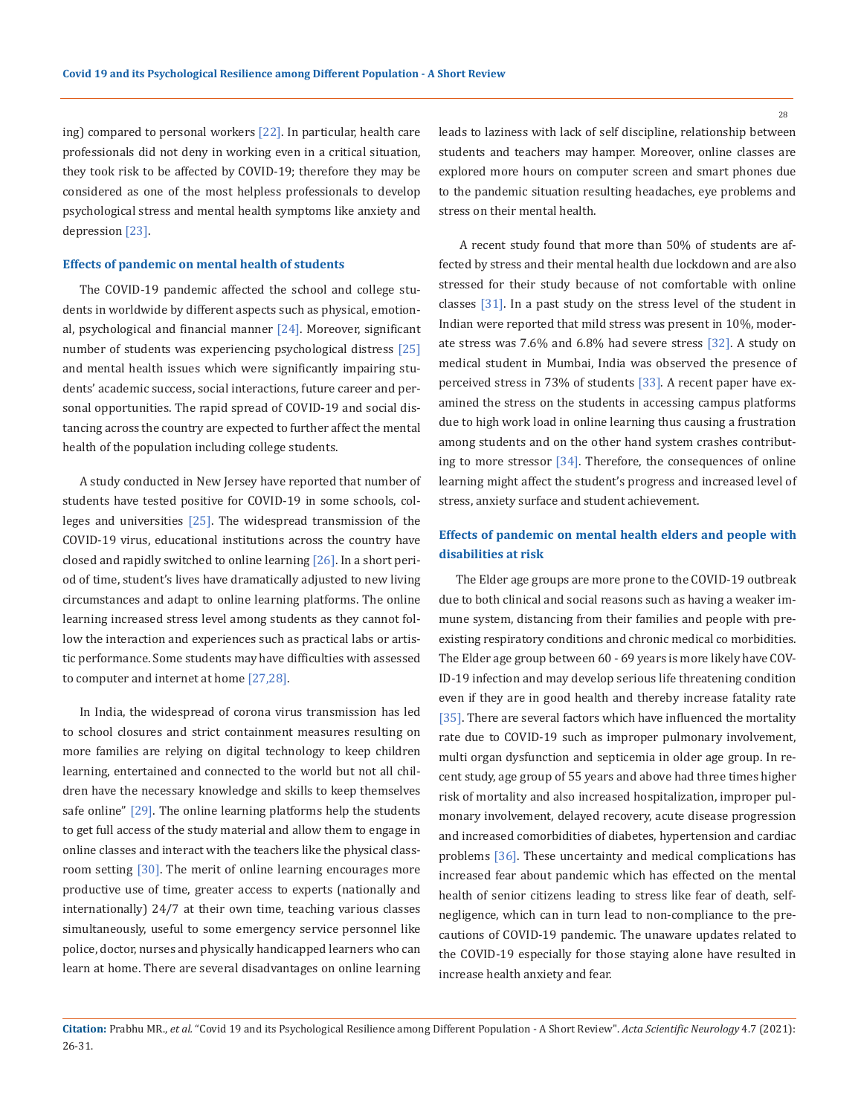ing) compared to personal workers [22]. In particular, health care professionals did not deny in working even in a critical situation, they took risk to be affected by COVID-19; therefore they may be considered as one of the most helpless professionals to develop psychological stress and mental health symptoms like anxiety and depression [23].

#### **Effects of pandemic on mental health of students**

The COVID-19 pandemic affected the school and college students in worldwide by different aspects such as physical, emotional, psychological and financial manner [24]. Moreover, significant number of students was experiencing psychological distress [25] and mental health issues which were significantly impairing students' academic success, social interactions, future career and personal opportunities. The rapid spread of COVID-19 and social distancing across the country are expected to further affect the mental health of the population including college students.

A study conducted in New Jersey have reported that number of students have tested positive for COVID-19 in some schools, colleges and universities [25]. The widespread transmission of the COVID-19 virus, educational institutions across the country have closed and rapidly switched to online learning  $[26]$ . In a short period of time, student's lives have dramatically adjusted to new living circumstances and adapt to online learning platforms. The online learning increased stress level among students as they cannot follow the interaction and experiences such as practical labs or artistic performance. Some students may have difficulties with assessed to computer and internet at home [27,28].

In India, the widespread of corona virus transmission has led to school closures and strict containment measures resulting on more families are relying on digital technology to keep children learning, entertained and connected to the world but not all children have the necessary knowledge and skills to keep themselves safe online" [29]. The online learning platforms help the students to get full access of the study material and allow them to engage in online classes and interact with the teachers like the physical classroom setting [30]. The merit of online learning encourages more productive use of time, greater access to experts (nationally and internationally) 24/7 at their own time, teaching various classes simultaneously, useful to some emergency service personnel like police, doctor, nurses and physically handicapped learners who can learn at home. There are several disadvantages on online learning leads to laziness with lack of self discipline, relationship between students and teachers may hamper. Moreover, online classes are explored more hours on computer screen and smart phones due to the pandemic situation resulting headaches, eye problems and stress on their mental health.

 A recent study found that more than 50% of students are affected by stress and their mental health due lockdown and are also stressed for their study because of not comfortable with online classes [31]. In a past study on the stress level of the student in Indian were reported that mild stress was present in 10%, moderate stress was 7.6% and 6.8% had severe stress [32]. A study on medical student in Mumbai, India was observed the presence of perceived stress in 73% of students [33]. A recent paper have examined the stress on the students in accessing campus platforms due to high work load in online learning thus causing a frustration among students and on the other hand system crashes contributing to more stressor [34]. Therefore, the consequences of online learning might affect the student's progress and increased level of stress, anxiety surface and student achievement.

## **Effects of pandemic on mental health elders and people with disabilities at risk**

The Elder age groups are more prone to the COVID-19 outbreak due to both clinical and social reasons such as having a weaker immune system, distancing from their families and people with preexisting respiratory conditions and chronic medical co morbidities. The Elder age group between 60 - 69 years is more likely have COV-ID-19 infection and may develop serious life threatening condition even if they are in good health and thereby increase fatality rate [35]. There are several factors which have influenced the mortality rate due to COVID-19 such as improper pulmonary involvement, multi organ dysfunction and septicemia in older age group. In recent study, age group of 55 years and above had three times higher risk of mortality and also increased hospitalization, improper pulmonary involvement, delayed recovery, acute disease progression and increased comorbidities of diabetes, hypertension and cardiac problems [36]. These uncertainty and medical complications has increased fear about pandemic which has effected on the mental health of senior citizens leading to stress like fear of death, selfnegligence, which can in turn lead to non-compliance to the precautions of COVID-19 pandemic. The unaware updates related to the COVID-19 especially for those staying alone have resulted in increase health anxiety and fear.

**Citation:** Prabhu MR., *et al.* "Covid 19 and its Psychological Resilience among Different Population - A Short Review". *Acta Scientific Neurology* 4.7 (2021): 26-31.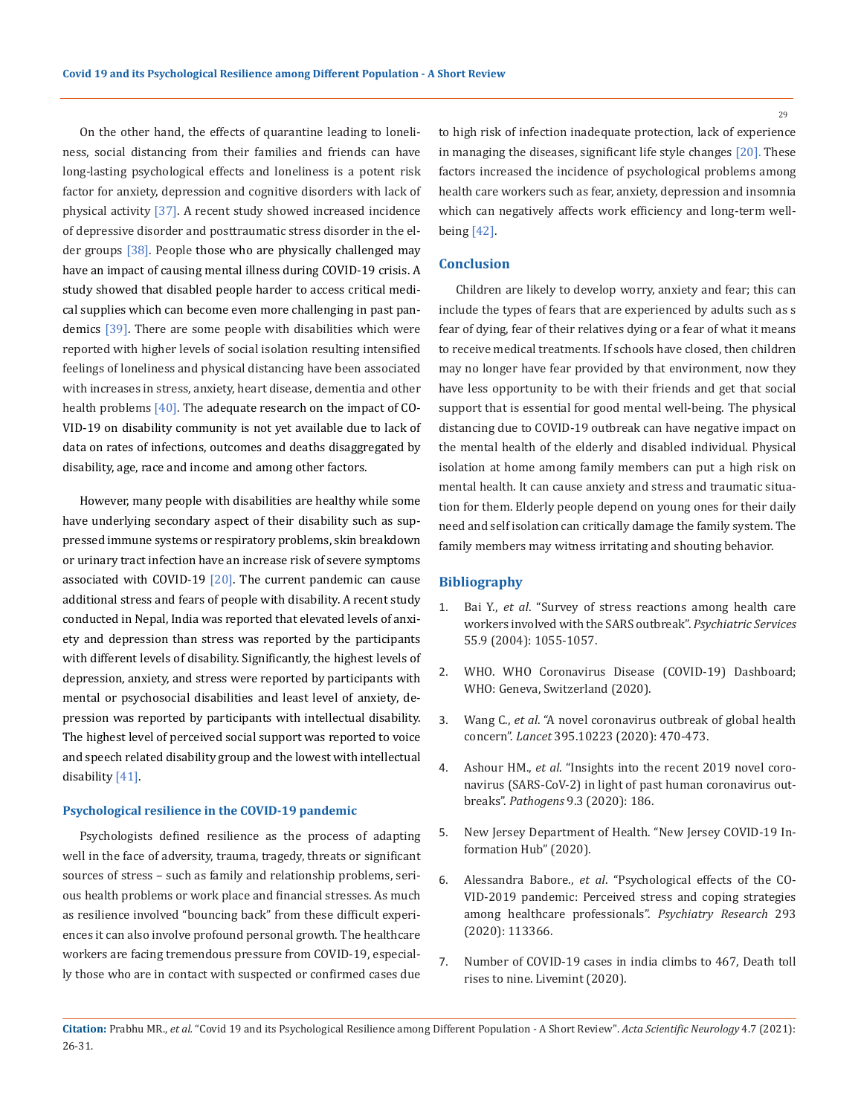On the other hand, the effects of quarantine leading to loneliness, social distancing from their families and friends can have long-lasting psychological effects and loneliness is a potent risk factor for anxiety, depression and cognitive disorders with lack of physical activity [37]. A recent study showed increased incidence of depressive disorder and posttraumatic stress disorder in the elder groups [38]. People those who are physically challenged may have an impact of causing mental illness during COVID-19 crisis. A study showed that disabled people harder to access critical medical supplies which can become even more challenging in past pandemics [39]. There are some people with disabilities which were reported with higher levels of social isolation resulting intensified feelings of loneliness and physical distancing have been associated with increases in stress, anxiety, heart disease, dementia and other health problems  $[40]$ . The adequate research on the impact of CO-VID-19 on disability community is not yet available due to lack of data on rates of infections, outcomes and deaths disaggregated by disability, age, race and income and among other factors.

However, many people with disabilities are healthy while some have underlying secondary aspect of their disability such as suppressed immune systems or respiratory problems, skin breakdown or urinary tract infection have an increase risk of severe symptoms associated with COVID-19  $[20]$ . The current pandemic can cause additional stress and fears of people with disability. A recent study conducted in Nepal, India was reported that elevated levels of anxiety and depression than stress was reported by the participants with different levels of disability. Significantly, the highest levels of depression, anxiety, and stress were reported by participants with mental or psychosocial disabilities and least level of anxiety, depression was reported by participants with intellectual disability. The highest level of perceived social support was reported to voice and speech related disability group and the lowest with intellectual disability [41].

#### **Psychological resilience in the COVID-19 pandemic**

Psychologists defined resilience as the process of adapting well in the face of adversity, trauma, tragedy, threats or significant sources of stress – such as family and relationship problems, serious health problems or work place and financial stresses. As much as resilience involved "bouncing back" from these difficult experiences it can also involve profound personal growth. The healthcare workers are facing tremendous pressure from COVID-19, especially those who are in contact with suspected or confirmed cases due

to high risk of infection inadequate protection, lack of experience in managing the diseases, significant life style changes [20]. These factors increased the incidence of psychological problems among health care workers such as fear, anxiety, depression and insomnia which can negatively affects work efficiency and long-term wellbeing [42].

### **Conclusion**

Children are likely to develop worry, anxiety and fear; this can include the types of fears that are experienced by adults such as s fear of dying, fear of their relatives dying or a fear of what it means to receive medical treatments. If schools have closed, then children may no longer have fear provided by that environment, now they have less opportunity to be with their friends and get that social support that is essential for good mental well-being. The physical distancing due to COVID-19 outbreak can have negative impact on the mental health of the elderly and disabled individual. Physical isolation at home among family members can put a high risk on mental health. It can cause anxiety and stress and traumatic situation for them. Elderly people depend on young ones for their daily need and self isolation can critically damage the family system. The family members may witness irritating and shouting behavior.

#### **Bibliography**

- 1. Bai Y., *et al*[. "Survey of stress reactions among health care](https://pubmed.ncbi.nlm.nih.gov/15345768/)  [workers involved with the SARS outbreak".](https://pubmed.ncbi.nlm.nih.gov/15345768/) *Psychiatric Services*  [55.9 \(2004\): 1055-1057.](https://pubmed.ncbi.nlm.nih.gov/15345768/)
- 2. WHO. WHO Coronavirus Disease (COVID-19) Dashboard; WHO: Geneva, Switzerland (2020).
- 3. Wang C., *et al*[. "A novel coronavirus outbreak of global health](https://www.thelancet.com/journals/lancet/article/PIIS0140-6736(20)30185-9/fulltext)  concern". *Lancet* [395.10223 \(2020\): 470-473.](https://www.thelancet.com/journals/lancet/article/PIIS0140-6736(20)30185-9/fulltext)
- 4. Ashour HM., *et al*[. "Insights into the recent 2019 novel coro](https://pubmed.ncbi.nlm.nih.gov/32143502/)[navirus \(SARS-CoV-2\) in light of past human coronavirus out](https://pubmed.ncbi.nlm.nih.gov/32143502/)breaks". *Pathogens* [9.3 \(2020\): 186.](https://pubmed.ncbi.nlm.nih.gov/32143502/)
- 5. New Jersey Department of Health. "New Jersey COVID-19 Information Hub" (2020).
- 6. Alessandra Babore., *et al*[. "Psychological effects of the CO-](https://www.ncbi.nlm.nih.gov/pmc/articles/PMC7397939/)[VID-2019 pandemic: Perceived stress and coping strategies](https://www.ncbi.nlm.nih.gov/pmc/articles/PMC7397939/)  [among healthcare professionals".](https://www.ncbi.nlm.nih.gov/pmc/articles/PMC7397939/) *Psychiatry Research* 293 [\(2020\): 113366.](https://www.ncbi.nlm.nih.gov/pmc/articles/PMC7397939/)
- 7. Number of COVID-19 cases in india climbs to 467, Death toll rises to nine. Livemint (2020).

**Citation:** Prabhu MR., *et al.* "Covid 19 and its Psychological Resilience among Different Population - A Short Review". *Acta Scientific Neurology* 4.7 (2021): 26-31.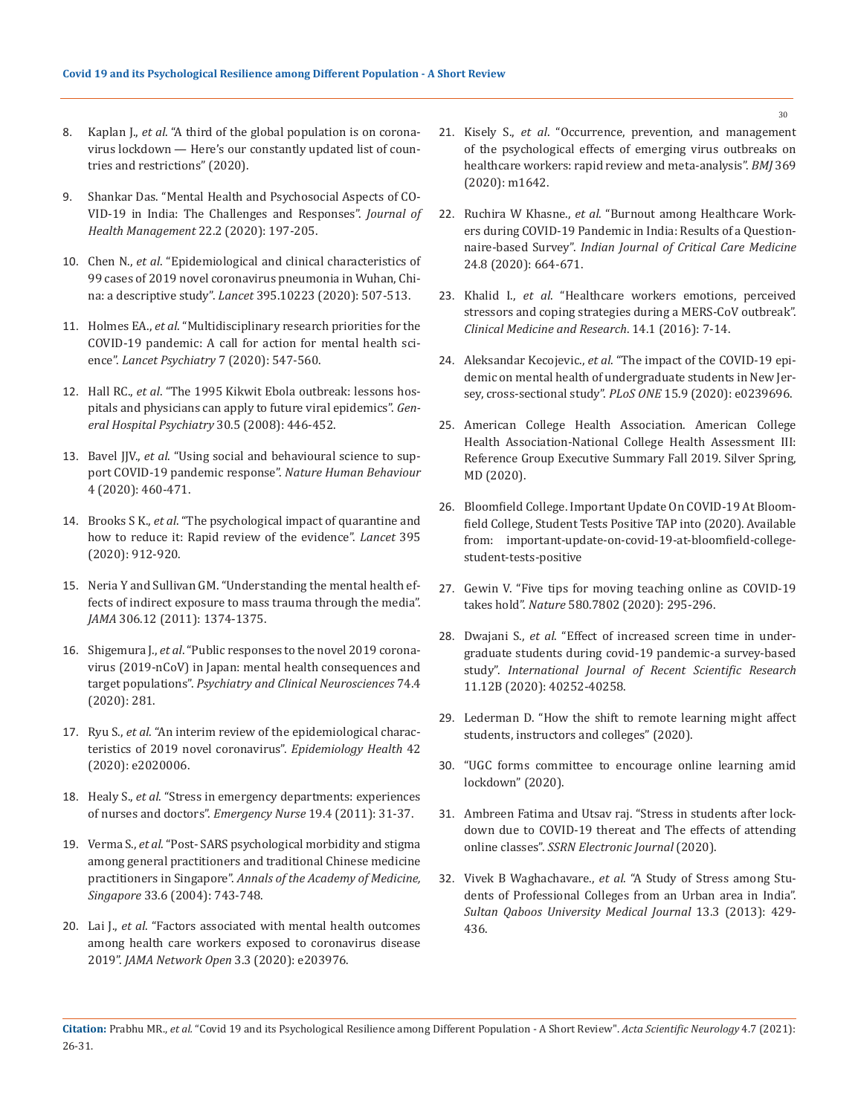- 8. Kaplan J., *et al*[. "A third of the global population is on corona](https://www.businessinsider.in/international/news/a-third-of-the-global-population-is-on-coronavirus-lockdown-x2014-hereaposs-our-constantly-updated-list-of-countries-and-restrictions/slidelist/75208623.cms)[virus lockdown — Here's our constantly updated list of coun](https://www.businessinsider.in/international/news/a-third-of-the-global-population-is-on-coronavirus-lockdown-x2014-hereaposs-our-constantly-updated-list-of-countries-and-restrictions/slidelist/75208623.cms)[tries and restrictions" \(2020\).](https://www.businessinsider.in/international/news/a-third-of-the-global-population-is-on-coronavirus-lockdown-x2014-hereaposs-our-constantly-updated-list-of-countries-and-restrictions/slidelist/75208623.cms)
- 9. [Shankar Das. "Mental Health and Psychosocial Aspects of CO-](https://journals.sagepub.com/doi/full/10.1177/0972063420935544)[VID-19 in India: The Challenges and Responses".](https://journals.sagepub.com/doi/full/10.1177/0972063420935544) *Journal of [Health Management](https://journals.sagepub.com/doi/full/10.1177/0972063420935544)* 22.2 (2020): 197-205.
- 10. Chen N., *et al*[. "Epidemiological and clinical characteristics of](https://pubmed.ncbi.nlm.nih.gov/32007143/)  [99 cases of 2019 novel coronavirus pneumonia in Wuhan, Chi](https://pubmed.ncbi.nlm.nih.gov/32007143/)na: a descriptive study". *Lancet* [395.10223 \(2020\): 507-513.](https://pubmed.ncbi.nlm.nih.gov/32007143/)
- 11. Holmes EA., *et al*[. "Multidisciplinary research priorities for the](https://www.thelancet.com/journals/lanpsy/article/PIIS2215-0366(20)30168-1/fulltext)  [COVID-19 pandemic: A call for action for mental health sci](https://www.thelancet.com/journals/lanpsy/article/PIIS2215-0366(20)30168-1/fulltext)ence". *[Lancet Psychiatry](https://www.thelancet.com/journals/lanpsy/article/PIIS2215-0366(20)30168-1/fulltext)* 7 (2020): 547-560.
- 12. Hall RC., *et al*[. "The 1995 Kikwit Ebola outbreak: lessons hos](https://pubmed.ncbi.nlm.nih.gov/18774428/)[pitals and physicians can apply to future viral epidemics".](https://pubmed.ncbi.nlm.nih.gov/18774428/) *Gen[eral Hospital Psychiatry](https://pubmed.ncbi.nlm.nih.gov/18774428/)* 30.5 (2008): 446-452.
- 13. Bavel JJV., *et al*[. "Using social and behavioural science to sup](https://www.nature.com/articles/s41562-020-0884-z)[port COVID-19 pandemic response".](https://www.nature.com/articles/s41562-020-0884-z) *Nature Human Behaviour*  [4 \(2020\): 460-471.](https://www.nature.com/articles/s41562-020-0884-z)
- 14. Brooks S K., *et al*[. "The psychological impact of quarantine and](https://www.thelancet.com/article/S0140-6736(20)30460-8/fulltext)  [how to reduce it: Rapid review of the evidence".](https://www.thelancet.com/article/S0140-6736(20)30460-8/fulltext) *Lancet* 395 [\(2020\): 912-920.](https://www.thelancet.com/article/S0140-6736(20)30460-8/fulltext)
- 15. [Neria Y and Sullivan GM. "Understanding the mental health ef](https://www.ncbi.nlm.nih.gov/pmc/articles/PMC3637659/)[fects of indirect exposure to mass trauma through the media".](https://www.ncbi.nlm.nih.gov/pmc/articles/PMC3637659/)  *JAMA* [306.12 \(2011\): 1374-1375.](https://www.ncbi.nlm.nih.gov/pmc/articles/PMC3637659/)
- 16. Shigemura J., *et al*[. "Public responses to the novel 2019 corona](https://onlinelibrary.wiley.com/doi/full/10.1111/pcn.12988)[virus \(2019-nCoV\) in Japan: mental health consequences and](https://onlinelibrary.wiley.com/doi/full/10.1111/pcn.12988)  target populations". *[Psychiatry and Clinical Neurosciences](https://onlinelibrary.wiley.com/doi/full/10.1111/pcn.12988)* 74.4 [\(2020\): 281.](https://onlinelibrary.wiley.com/doi/full/10.1111/pcn.12988)
- 17. Ryu S., *et al*[. "An interim review of the epidemiological charac](https://www.ncbi.nlm.nih.gov/pmc/articles/PMC7011107/)[teristics of 2019 novel coronavirus".](https://www.ncbi.nlm.nih.gov/pmc/articles/PMC7011107/) *Epidemiology Health* 42 [\(2020\): e2020006.](https://www.ncbi.nlm.nih.gov/pmc/articles/PMC7011107/)
- 18. Healy S., *et al*[. "Stress in emergency departments: experiences](https://www.researchgate.net/publication/51605518_Stress_in_emergency_departments_Experiences_of_nurses_and_doctors)  [of nurses and doctors".](https://www.researchgate.net/publication/51605518_Stress_in_emergency_departments_Experiences_of_nurses_and_doctors) *Emergency Nurse* 19.4 (2011): 31-37.
- 19. Verma S., *et al*[. "Post- SARS psychological morbidity and stigma](https://www.researchgate.net/publication/263654999_Post-SARS_Psychological_Morbidity_and_Stigma_Among_General_Practitioners_and_Traditional_Chinese_Medicine_Practitioners_in_Singapore)  [among general practitioners and traditional Chinese medicine](https://www.researchgate.net/publication/263654999_Post-SARS_Psychological_Morbidity_and_Stigma_Among_General_Practitioners_and_Traditional_Chinese_Medicine_Practitioners_in_Singapore)  practitioners in Singapore". *[Annals of the Academy of Medicine,](https://www.researchgate.net/publication/263654999_Post-SARS_Psychological_Morbidity_and_Stigma_Among_General_Practitioners_and_Traditional_Chinese_Medicine_Practitioners_in_Singapore)  Singapore* [33.6 \(2004\): 743-748.](https://www.researchgate.net/publication/263654999_Post-SARS_Psychological_Morbidity_and_Stigma_Among_General_Practitioners_and_Traditional_Chinese_Medicine_Practitioners_in_Singapore)
- 20. Lai J., *et al*[. "Factors associated with mental health outcomes](https://jamanetwork.com/journals/jamanetworkopen/fullarticle/2763229)  [among health care workers exposed to coronavirus disease](https://jamanetwork.com/journals/jamanetworkopen/fullarticle/2763229)  2019". *[JAMA Network Open](https://jamanetwork.com/journals/jamanetworkopen/fullarticle/2763229)* 3.3 (2020): e203976.
- 21. Kisely S., *et al*[. "Occurrence, prevention, and management](https://www.bmj.com/content/369/bmj.m1642)  [of the psychological effects of emerging virus outbreaks on](https://www.bmj.com/content/369/bmj.m1642)  [healthcare workers: rapid review and meta-analysis".](https://www.bmj.com/content/369/bmj.m1642) *BMJ* 369 [\(2020\): m1642.](https://www.bmj.com/content/369/bmj.m1642)
- 22. Ruchira W Khasne., *et al*[. "Burnout among Healthcare Work](https://www.ncbi.nlm.nih.gov/pmc/articles/PMC7519601/)[ers during COVID-19 Pandemic in India: Results of a Question](https://www.ncbi.nlm.nih.gov/pmc/articles/PMC7519601/)naire-based Survey". *[Indian Journal of Critical Care Medicine](https://www.ncbi.nlm.nih.gov/pmc/articles/PMC7519601/)* [24.8 \(2020\): 664-671.](https://www.ncbi.nlm.nih.gov/pmc/articles/PMC7519601/)
- 23. Khalid I., *et al*[. "Healthcare workers emotions, perceived](https://doi.org/10.3121/cmr.2016.1303)  [stressors and coping strategies during a MERS-CoV outbreak".](https://doi.org/10.3121/cmr.2016.1303)  *[Clinical Medicine and Research](https://doi.org/10.3121/cmr.2016.1303)*. 14.1 (2016): 7-14.
- 24. Aleksandar Kecojevic., *et al*[. "The impact of the COVID-19 epi](https://journals.plos.org/plosone/article?id=10.1371/journal.pone.0239696)[demic on mental health of undergraduate students in New Jer](https://journals.plos.org/plosone/article?id=10.1371/journal.pone.0239696)[sey, cross-sectional study".](https://journals.plos.org/plosone/article?id=10.1371/journal.pone.0239696) *PLoS ONE* 15.9 (2020): e0239696.
- 25. American College Health Association. American College Health Association-National College Health Assessment III: Reference Group Executive Summary Fall 2019. Silver Spring, MD (2020).
- 26. Bloomfield College. Important Update On COVID-19 At Bloomfield College, Student Tests Positive TAP into (2020). Available from: important-update-on-covid-19-at-bloomfield-collegestudent-tests-positive
- 27. [Gewin V. "Five tips for moving teaching online as COVID-19](https://doi.org/10.1038/d41586-020-00896-7)  takes hold". *Nature* [580.7802 \(2020\): 295-296.](https://doi.org/10.1038/d41586-020-00896-7)
- 28. Dwajani S., *et al*[. "Effect of increased screen time in under](https://www.recentscientific.com/effect-increased-screen-time-undergraduate-students-during-covid-19-pandemic-survey-based-study)[graduate students during covid-19 pandemic-a survey-based](https://www.recentscientific.com/effect-increased-screen-time-undergraduate-students-during-covid-19-pandemic-survey-based-study)  study". *[International Journal of Recent Scientific Research](https://www.recentscientific.com/effect-increased-screen-time-undergraduate-students-during-covid-19-pandemic-survey-based-study)* [11.12B \(2020\): 40252-40258.](https://www.recentscientific.com/effect-increased-screen-time-undergraduate-students-during-covid-19-pandemic-survey-based-study)
- 29. Lederman D. "How the shift to remote learning might affect students, instructors and colleges" (2020).
- 30. "UGC forms committee to encourage online learning amid lockdown" (2020).
- 31. [Ambreen Fatima and Utsav raj. "Stress in students after lock](https://www.researchgate.net/publication/341267580_Stress_in_Students_after_Lockdown_Due_to_COVID-19_Thereat_and_the_Effects_of_Attending_Online_Classes)[down due to COVID-19 thereat and The effects of attending](https://www.researchgate.net/publication/341267580_Stress_in_Students_after_Lockdown_Due_to_COVID-19_Thereat_and_the_Effects_of_Attending_Online_Classes)  online classes". *[SSRN Electronic Journal](https://www.researchgate.net/publication/341267580_Stress_in_Students_after_Lockdown_Due_to_COVID-19_Thereat_and_the_Effects_of_Attending_Online_Classes)* (2020).
- 32. Vivek B Waghachavare., *et al*[. "A Study of Stress among Stu](https://pubmed.ncbi.nlm.nih.gov/23984029/)[dents of Professional Colleges from an Urban area in India".](https://pubmed.ncbi.nlm.nih.gov/23984029/)  *[Sultan Qaboos University Medical Journal](https://pubmed.ncbi.nlm.nih.gov/23984029/)* 13.3 (2013): 429- [436.](https://pubmed.ncbi.nlm.nih.gov/23984029/)

**Citation:** Prabhu MR., *et al.* "Covid 19 and its Psychological Resilience among Different Population - A Short Review". *Acta Scientific Neurology* 4.7 (2021): 26-31.